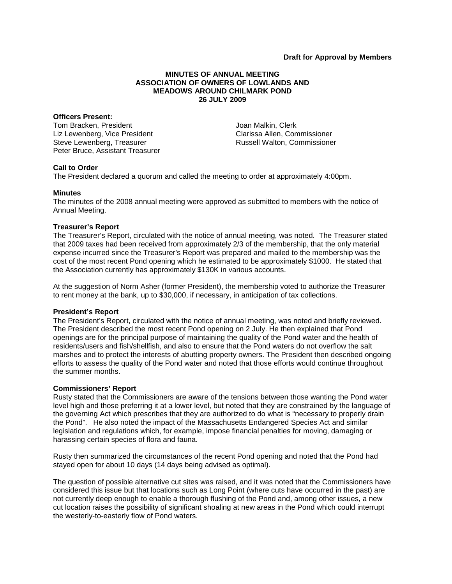# **MINUTES OF ANNUAL MEETING ASSOCIATION OF OWNERS OF LOWLANDS AND MEADOWS AROUND CHILMARK POND 26 JULY 2009**

#### **Officers Present:**

Tom Bracken, President Liz Lewenberg, Vice President Steve Lewenberg, Treasurer Peter Bruce, Assistant Treasurer Joan Malkin, Clerk Clarissa Allen, Commissioner Russell Walton, Commissioner

# **Call to Order**

The President declared a quorum and called the meeting to order at approximately 4:00pm.

## **Minutes**

The minutes of the 2008 annual meeting were approved as submitted to members with the notice of Annual Meeting.

## **Treasurer's Report**

The Treasurer's Report, circulated with the notice of annual meeting, was noted. The Treasurer stated that 2009 taxes had been received from approximately 2/3 of the membership, that the only material expense incurred since the Treasurer's Report was prepared and mailed to the membership was the cost of the most recent Pond opening which he estimated to be approximately \$1000. He stated that the Association currently has approximately \$130K in various accounts.

At the suggestion of Norm Asher (former President), the membership voted to authorize the Treasurer to rent money at the bank, up to \$30,000, if necessary, in anticipation of tax collections.

# **President's Report**

The President's Report, circulated with the notice of annual meeting, was noted and briefly reviewed. The President described the most recent Pond opening on 2 July. He then explained that Pond openings are for the principal purpose of maintaining the quality of the Pond water and the health of residents/users and fish/shellfish, and also to ensure that the Pond waters do not overflow the salt marshes and to protect the interests of abutting property owners. The President then described ongoing efforts to assess the quality of the Pond water and noted that those efforts would continue throughout the summer months.

#### **Commissioners' Report**

Rusty stated that the Commissioners are aware of the tensions between those wanting the Pond water level high and those preferring it at a lower level, but noted that they are constrained by the language of the governing Act which prescribes that they are authorized to do what is "necessary to properly drain the Pond". He also noted the impact of the Massachusetts Endangered Species Act and similar legislation and regulations which, for example, impose financial penalties for moving, damaging or harassing certain species of flora and fauna.

Rusty then summarized the circumstances of the recent Pond opening and noted that the Pond had stayed open for about 10 days (14 days being advised as optimal).

The question of possible alternative cut sites was raised, and it was noted that the Commissioners have considered this issue but that locations such as Long Point (where cuts have occurred in the past) are not currently deep enough to enable a thorough flushing of the Pond and, among other issues, a new cut location raises the possibility of significant shoaling at new areas in the Pond which could interrupt the westerly-to-easterly flow of Pond waters.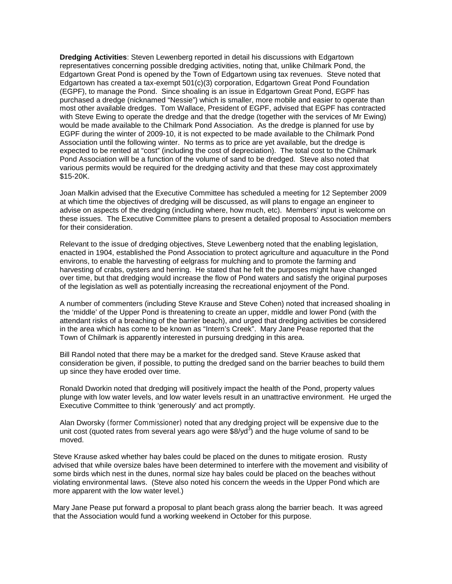**Dredging Activities**: Steven Lewenberg reported in detail his discussions with Edgartown representatives concerning possible dredging activities, noting that, unlike Chilmark Pond, the Edgartown Great Pond is opened by the Town of Edgartown using tax revenues. Steve noted that Edgartown has created a tax-exempt 501(c)(3) corporation, Edgartown Great Pond Foundation (EGPF), to manage the Pond. Since shoaling is an issue in Edgartown Great Pond, EGPF has purchased a dredge (nicknamed "Nessie") which is smaller, more mobile and easier to operate than most other available dredges. Tom Wallace, President of EGPF, advised that EGPF has contracted with Steve Ewing to operate the dredge and that the dredge (together with the services of Mr Ewing) would be made available to the Chilmark Pond Association. As the dredge is planned for use by EGPF during the winter of 2009-10, it is not expected to be made available to the Chilmark Pond Association until the following winter. No terms as to price are yet available, but the dredge is expected to be rented at "cost" (including the cost of depreciation). The total cost to the Chilmark Pond Association will be a function of the volume of sand to be dredged. Steve also noted that various permits would be required for the dredging activity and that these may cost approximately \$15-20K.

Joan Malkin advised that the Executive Committee has scheduled a meeting for 12 September 2009 at which time the objectives of dredging will be discussed, as will plans to engage an engineer to advise on aspects of the dredging (including where, how much, etc). Members' input is welcome on these issues. The Executive Committee plans to present a detailed proposal to Association members for their consideration.

Relevant to the issue of dredging objectives, Steve Lewenberg noted that the enabling legislation, enacted in 1904, established the Pond Association to protect agriculture and aquaculture in the Pond environs, to enable the harvesting of eelgrass for mulching and to promote the farming and harvesting of crabs, oysters and herring. He stated that he felt the purposes might have changed over time, but that dredging would increase the flow of Pond waters and satisfy the original purposes of the legislation as well as potentially increasing the recreational enjoyment of the Pond.

A number of commenters (including Steve Krause and Steve Cohen) noted that increased shoaling in the 'middle' of the Upper Pond is threatening to create an upper, middle and lower Pond (with the attendant risks of a breaching of the barrier beach), and urged that dredging activities be considered in the area which has come to be known as "Intern's Creek". Mary Jane Pease reported that the Town of Chilmark is apparently interested in pursuing dredging in this area.

Bill Randol noted that there may be a market for the dredged sand. Steve Krause asked that consideration be given, if possible, to putting the dredged sand on the barrier beaches to build them up since they have eroded over time.

Ronald Dworkin noted that dredging will positively impact the health of the Pond, property values plunge with low water levels, and low water levels result in an unattractive environment. He urged the Executive Committee to think 'generously' and act promptly.

Alan Dworsky (former Commissioner) noted that any dredging project will be expensive due to the unit cost (quoted rates from several years ago were  $$8$ /yd<sup>3</sup>) and the huge volume of sand to be moved.

Steve Krause asked whether hay bales could be placed on the dunes to mitigate erosion. Rusty advised that while oversize bales have been determined to interfere with the movement and visibility of some birds which nest in the dunes, normal size hay bales could be placed on the beaches without violating environmental laws. (Steve also noted his concern the weeds in the Upper Pond which are more apparent with the low water level.)

Mary Jane Pease put forward a proposal to plant beach grass along the barrier beach. It was agreed that the Association would fund a working weekend in October for this purpose.